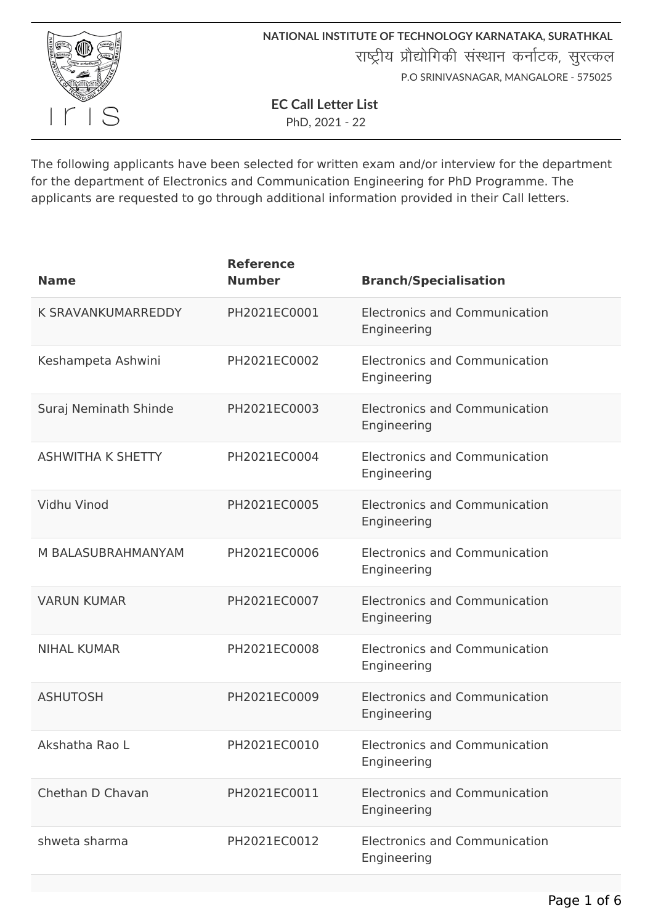

**NATIONAL INSTITUTE OF TECHNOLOGY KARNATAKA, SURATHKAL** राष्ट्रीय प्रौद्योगिकी संस्थान कर्नाटक, सुरत्कल P.O SRINIVASNAGAR, MANGALORE - 575025

**EC Call Letter List**

PhD, 2021 - 22

The following applicants have been selected for written exam and/or interview for the department for the department of Electronics and Communication Engineering for PhD Programme. The applicants are requested to go through additional information provided in their Call letters.

| <b>Name</b>              | <b>Reference</b><br><b>Number</b> | <b>Branch/Specialisation</b>                        |
|--------------------------|-----------------------------------|-----------------------------------------------------|
| K SRAVANKUMARREDDY       | PH2021EC0001                      | <b>Electronics and Communication</b><br>Engineering |
| Keshampeta Ashwini       | PH2021EC0002                      | <b>Electronics and Communication</b><br>Engineering |
| Suraj Neminath Shinde    | PH2021EC0003                      | <b>Electronics and Communication</b><br>Engineering |
| <b>ASHWITHA K SHETTY</b> | PH2021EC0004                      | <b>Electronics and Communication</b><br>Engineering |
| Vidhu Vinod              | PH2021EC0005                      | <b>Electronics and Communication</b><br>Engineering |
| M BALASUBRAHMANYAM       | PH2021EC0006                      | <b>Electronics and Communication</b><br>Engineering |
| <b>VARUN KUMAR</b>       | PH2021EC0007                      | <b>Electronics and Communication</b><br>Engineering |
| <b>NIHAL KUMAR</b>       | PH2021EC0008                      | <b>Electronics and Communication</b><br>Engineering |
| <b>ASHUTOSH</b>          | PH2021EC0009                      | <b>Electronics and Communication</b><br>Engineering |
| Akshatha Rao L           | PH2021EC0010                      | <b>Electronics and Communication</b><br>Engineering |
| Chethan D Chavan         | PH2021EC0011                      | <b>Electronics and Communication</b><br>Engineering |
| shweta sharma            | PH2021EC0012                      | <b>Electronics and Communication</b><br>Engineering |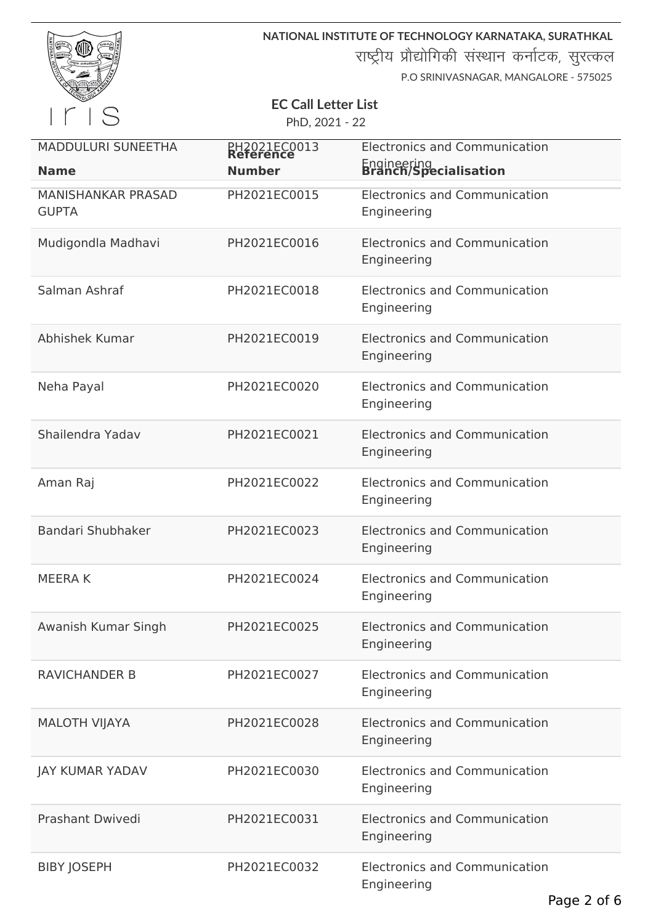| NATIONAR | WORK /S<br>WORSHIP<br><b>ARTICLES</b> | तत्पूजा कर्मवारितस् <sup>त</sup><br><b>VOLOGY</b> | SURATHKA<br>ಕಾಯಕವೆ<br>6.02x<br><b>HARTISTS</b> |
|----------|---------------------------------------|---------------------------------------------------|------------------------------------------------|
|          |                                       |                                                   |                                                |

**NATIONAL INSTITUTE OF TECHNOLOGY KARNATAKA, SURATHKAL**

राष्ट्रीय प्रौद्योगिकी संस्थान कर्नाटक, सुरत्कल

P.O SRINIVASNAGAR, MANGALORE - 575025

# **EC Call Letter List**

PhD, 2021 - 22

| <b>MADDULURI SUNEETHA</b><br><b>Name</b>  | PH2021EC0013<br><b>Number</b> | <b>Electronics and Communication</b><br>Engineering<br><b>Branch/Specialisation</b> |
|-------------------------------------------|-------------------------------|-------------------------------------------------------------------------------------|
| <b>MANISHANKAR PRASAD</b><br><b>GUPTA</b> | PH2021EC0015                  | <b>Electronics and Communication</b><br>Engineering                                 |
| Mudigondla Madhavi                        | PH2021EC0016                  | <b>Electronics and Communication</b><br>Engineering                                 |
| Salman Ashraf                             | PH2021EC0018                  | <b>Electronics and Communication</b><br>Engineering                                 |
| Abhishek Kumar                            | PH2021EC0019                  | <b>Electronics and Communication</b><br>Engineering                                 |
| Neha Payal                                | PH2021EC0020                  | <b>Electronics and Communication</b><br>Engineering                                 |
| Shailendra Yadav                          | PH2021EC0021                  | <b>Electronics and Communication</b><br>Engineering                                 |
| Aman Raj                                  | PH2021EC0022                  | <b>Electronics and Communication</b><br>Engineering                                 |
| Bandari Shubhaker                         | PH2021EC0023                  | <b>Electronics and Communication</b><br>Engineering                                 |
| <b>MEERAK</b>                             | PH2021EC0024                  | <b>Electronics and Communication</b><br>Engineering                                 |
| Awanish Kumar Singh                       | PH2021EC0025                  | <b>Electronics and Communication</b><br>Engineering                                 |
| <b>RAVICHANDER B</b>                      | PH2021EC0027                  | <b>Electronics and Communication</b><br>Engineering                                 |
| <b>MALOTH VIJAYA</b>                      | PH2021EC0028                  | <b>Electronics and Communication</b><br>Engineering                                 |
| <b>JAY KUMAR YADAV</b>                    | PH2021EC0030                  | <b>Electronics and Communication</b><br>Engineering                                 |
| <b>Prashant Dwivedi</b>                   | PH2021EC0031                  | <b>Electronics and Communication</b><br>Engineering                                 |
| <b>BIBY JOSEPH</b>                        | PH2021EC0032                  | <b>Electronics and Communication</b><br>Engineering                                 |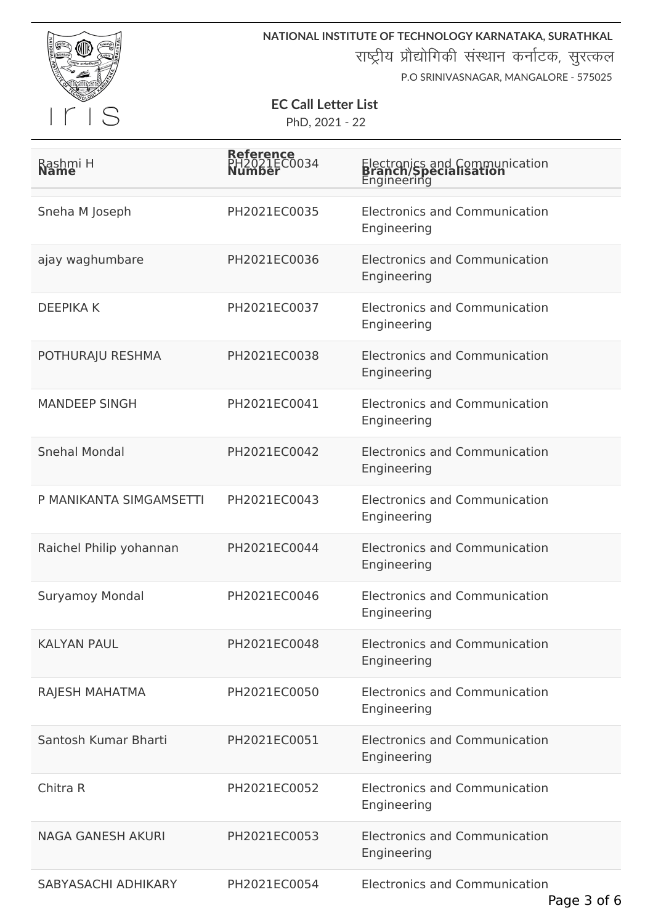

**NATIONAL INSTITUTE OF TECHNOLOGY KARNATAKA, SURATHKAL** राष्ट्रीय प्रौद्योगिकी संस्थान कर्नाटक, सुरत्कल

P.O SRINIVASNAGAR, MANGALORE - 575025

## **EC Call Letter List**

PhD, 2021 - 22

| Rashmi H                 | Reference<br>LEC0034 | Electronics and Communication<br><b>Branch/Specialisation</b><br>Engineering |
|--------------------------|----------------------|------------------------------------------------------------------------------|
| Sneha M Joseph           | PH2021EC0035         | <b>Electronics and Communication</b><br>Engineering                          |
| ajay waghumbare          | PH2021EC0036         | <b>Electronics and Communication</b><br>Engineering                          |
| <b>DEEPIKA K</b>         | PH2021EC0037         | <b>Electronics and Communication</b><br>Engineering                          |
| POTHURAJU RESHMA         | PH2021EC0038         | <b>Electronics and Communication</b><br>Engineering                          |
| <b>MANDEEP SINGH</b>     | PH2021EC0041         | <b>Electronics and Communication</b><br>Engineering                          |
| <b>Snehal Mondal</b>     | PH2021EC0042         | <b>Electronics and Communication</b><br>Engineering                          |
| P MANIKANTA SIMGAMSETTI  | PH2021EC0043         | <b>Electronics and Communication</b><br>Engineering                          |
| Raichel Philip yohannan  | PH2021EC0044         | <b>Electronics and Communication</b><br>Engineering                          |
| <b>Suryamoy Mondal</b>   | PH2021EC0046         | <b>Electronics and Communication</b><br>Engineering                          |
| <b>KALYAN PAUL</b>       | PH2021EC0048         | <b>Electronics and Communication</b><br>Engineering                          |
| RAJESH MAHATMA           | PH2021EC0050         | <b>Electronics and Communication</b><br>Engineering                          |
| Santosh Kumar Bharti     | PH2021EC0051         | <b>Electronics and Communication</b><br>Engineering                          |
| Chitra R                 | PH2021EC0052         | <b>Electronics and Communication</b><br>Engineering                          |
| <b>NAGA GANESH AKURI</b> | PH2021EC0053         | <b>Electronics and Communication</b><br>Engineering                          |
| SABYASACHI ADHIKARY      | PH2021EC0054         | <b>Electronics and Communication</b>                                         |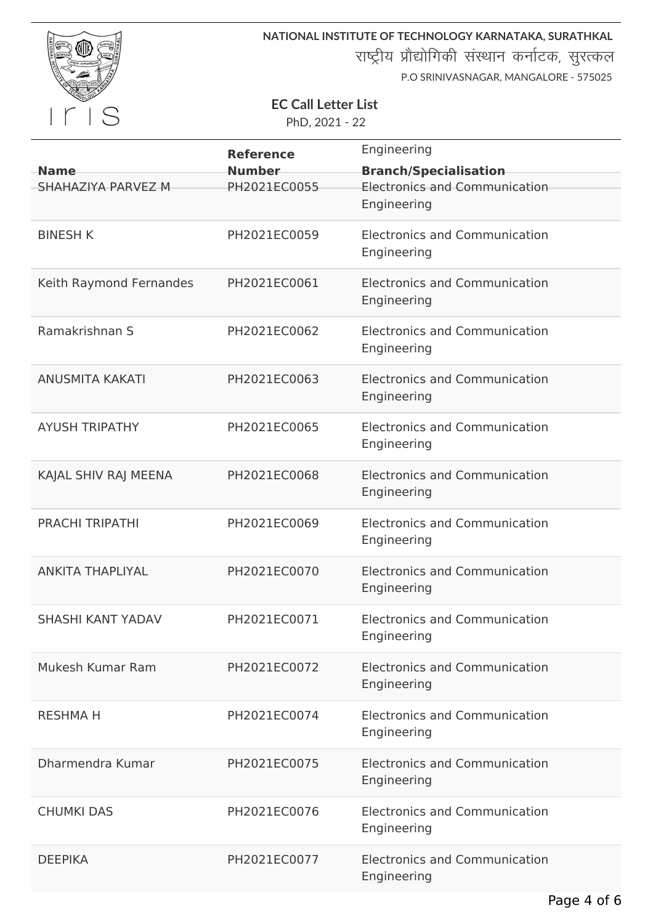

**NATIONAL INSTITUTE OF TECHNOLOGY KARNATAKA, SURATHKAL**

राष्ट्रीय प्रौद्योगिकी संस्थान कर्नाटक, सुरत्कल

P.O SRINIVASNAGAR, MANGALORE - 575025

# **EC Call Letter List**

PhD, 2021 - 22

|                          | <b>Reference</b> | Engineering                          |
|--------------------------|------------------|--------------------------------------|
| <b>Name</b>              | <b>Number</b>    | <b>Branch/Specialisation</b>         |
| SHAHAZIYA PARVEZ M       | PH2021EC0055     | <b>Electronics and Communication</b> |
|                          |                  | Engineering                          |
| <b>BINESH K</b>          | PH2021EC0059     | <b>Electronics and Communication</b> |
|                          |                  | Engineering                          |
|                          |                  |                                      |
| Keith Raymond Fernandes  | PH2021EC0061     | <b>Electronics and Communication</b> |
|                          |                  | Engineering                          |
| Ramakrishnan S           | PH2021EC0062     | <b>Electronics and Communication</b> |
|                          |                  | Engineering                          |
| <b>ANUSMITA KAKATI</b>   | PH2021EC0063     | <b>Electronics and Communication</b> |
|                          |                  | Engineering                          |
|                          |                  |                                      |
| <b>AYUSH TRIPATHY</b>    | PH2021EC0065     | <b>Electronics and Communication</b> |
|                          |                  | Engineering                          |
| KAJAL SHIV RAJ MEENA     | PH2021EC0068     | <b>Electronics and Communication</b> |
|                          |                  | Engineering                          |
| <b>PRACHI TRIPATHI</b>   | PH2021EC0069     | <b>Electronics and Communication</b> |
|                          |                  | Engineering                          |
|                          |                  |                                      |
| <b>ANKITA THAPLIYAL</b>  | PH2021EC0070     | <b>Electronics and Communication</b> |
|                          |                  | Engineering                          |
| <b>SHASHI KANT YADAV</b> | PH2021EC0071     | <b>Electronics and Communication</b> |
|                          |                  | Engineering                          |
| Mukesh Kumar Ram         | PH2021EC0072     | <b>Electronics and Communication</b> |
|                          |                  | Engineering                          |
|                          |                  |                                      |
| <b>RESHMA H</b>          | PH2021EC0074     | <b>Electronics and Communication</b> |
|                          |                  | Engineering                          |
| Dharmendra Kumar         | PH2021EC0075     | <b>Electronics and Communication</b> |
|                          |                  | Engineering                          |
| <b>CHUMKI DAS</b>        | PH2021EC0076     | <b>Electronics and Communication</b> |
|                          |                  | Engineering                          |
|                          |                  |                                      |
| <b>DEEPIKA</b>           | PH2021EC0077     | <b>Electronics and Communication</b> |
|                          |                  | Engineering                          |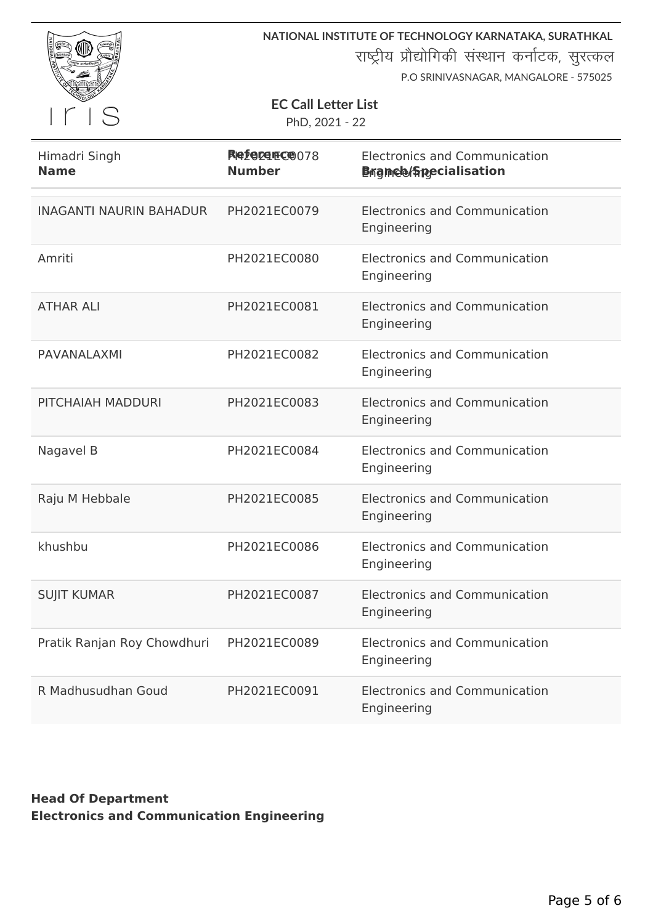

**NATIONAL INSTITUTE OF TECHNOLOGY KARNATAKA, SURATHKAL**

राष्ट्रीय प्रौद्योगिकी संस्थान कर्नाटक, सुरत्कल

P.O SRINIVASNAGAR, MANGALORE - 575025

#### **EC Call Letter List**

PhD, 2021 - 22

| Himadri Singh<br><b>Name</b>   | Reference 078<br><b>Number</b> | <b>Electronics and Communication</b><br><b>Brance Specialisation</b> |
|--------------------------------|--------------------------------|----------------------------------------------------------------------|
| <b>INAGANTI NAURIN BAHADUR</b> | PH2021EC0079                   | <b>Electronics and Communication</b><br>Engineering                  |
| Amriti                         | PH2021EC0080                   | <b>Electronics and Communication</b><br>Engineering                  |
| <b>ATHAR ALI</b>               | PH2021EC0081                   | <b>Electronics and Communication</b><br>Engineering                  |
| <b>PAVANALAXMI</b>             | PH2021EC0082                   | <b>Electronics and Communication</b><br>Engineering                  |
| PITCHAIAH MADDURI              | PH2021EC0083                   | <b>Electronics and Communication</b><br>Engineering                  |
| Nagavel B                      | PH2021EC0084                   | <b>Electronics and Communication</b><br>Engineering                  |
| Raju M Hebbale                 | PH2021EC0085                   | <b>Electronics and Communication</b><br>Engineering                  |
| khushbu                        | PH2021EC0086                   | <b>Electronics and Communication</b><br>Engineering                  |
| <b>SUJIT KUMAR</b>             | PH2021EC0087                   | <b>Electronics and Communication</b><br>Engineering                  |
| Pratik Ranjan Roy Chowdhuri    | PH2021EC0089                   | <b>Electronics and Communication</b><br>Engineering                  |
| R Madhusudhan Goud             | PH2021EC0091                   | <b>Electronics and Communication</b><br>Engineering                  |

### **Head Of Department Electronics and Communication Engineering**